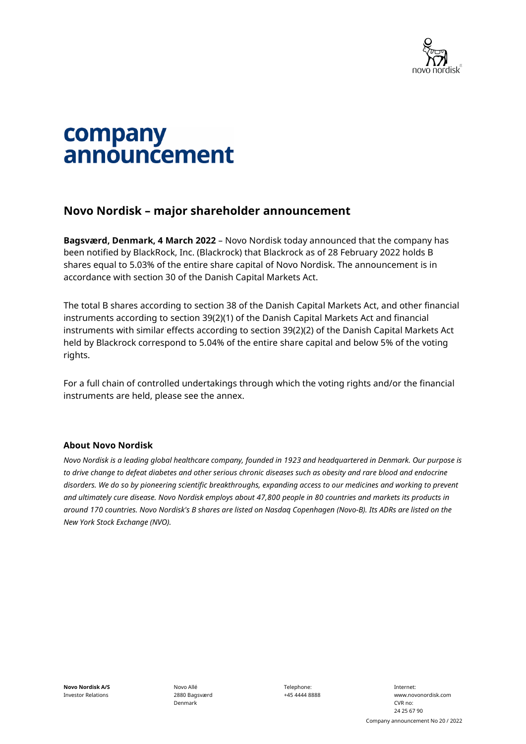

# company announcement

## **Novo Nordisk – major shareholder announcement**

**Bagsværd, Denmark, 4 March 2022** – Novo Nordisk today announced that the company has been notified by BlackRock, Inc. (Blackrock) that Blackrock as of 28 February 2022 holds B shares equal to 5.03% of the entire share capital of Novo Nordisk. The announcement is in accordance with section 30 of the Danish Capital Markets Act.

The total B shares according to section 38 of the Danish Capital Markets Act, and other financial instruments according to section 39(2)(1) of the Danish Capital Markets Act and financial instruments with similar effects according to section 39(2)(2) of the Danish Capital Markets Act held by Blackrock correspond to 5.04% of the entire share capital and below 5% of the voting rights.

For a full chain of controlled undertakings through which the voting rights and/or the financial instruments are held, please see the annex.

#### **About Novo Nordisk**

*Novo Nordisk is a leading global healthcare company, founded in 1923 and headquartered in Denmark. Our purpose is to drive change to defeat diabetes and other serious chronic diseases such as obesity and rare blood and endocrine disorders. We do so by pioneering scientific breakthroughs, expanding access to our medicines and working to prevent and ultimately cure disease. Novo Nordisk employs about 47,800 people in 80 countries and markets its products in around 170 countries. Novo Nordisk's B shares are listed on Nasdaq Copenhagen (Novo-B). Its ADRs are listed on the New York Stock Exchange (NVO).* 

Telephone: +45 4444 8888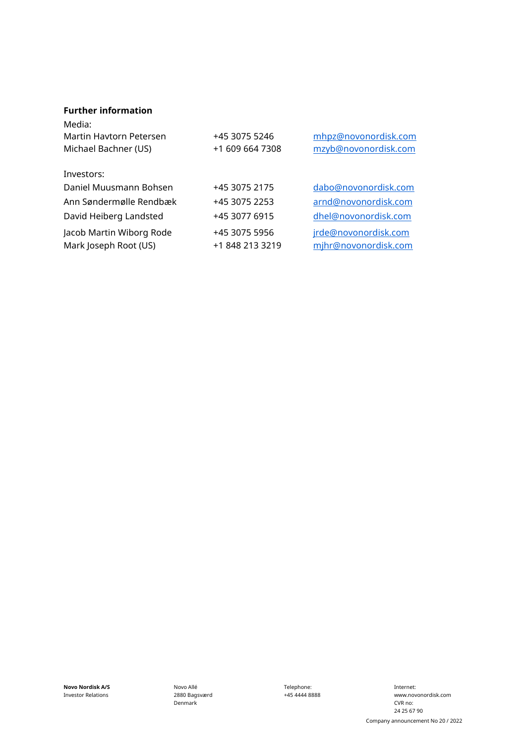#### **Further information**

| Media:<br>Martin Haytorn Petersen<br>Michael Bachner (US) | +45 3075 5246<br>+1 609 664 7308 | mhpz@novonordisk.com<br>mzyb@novonordisk.com |
|-----------------------------------------------------------|----------------------------------|----------------------------------------------|
| Investors:                                                |                                  |                                              |
| Daniel Muusmann Bohsen                                    | +45 3075 2175                    | dabo@novonordisk.com                         |
| Ann Søndermølle Rendbæk                                   | +45 3075 2253                    | arnd@novonordisk.com                         |
| David Heiberg Landsted                                    | +45 3077 6915                    | dhel@novonordisk.com                         |
| Jacob Martin Wiborg Rode<br>Mark Joseph Root (US)         | +45 3075 5956<br>+1 848 213 3219 | jrde@novonordisk.com<br>mjhr@novonordisk.com |

**Novo Nordisk A/S** Investor Relations

Novo Allé 2880 Bagsværd Denmark

Telephone: +45 4444 8888

Internet: www.novonordisk.com CVR no: 24 25 67 90 Company announcement No 20 / 2022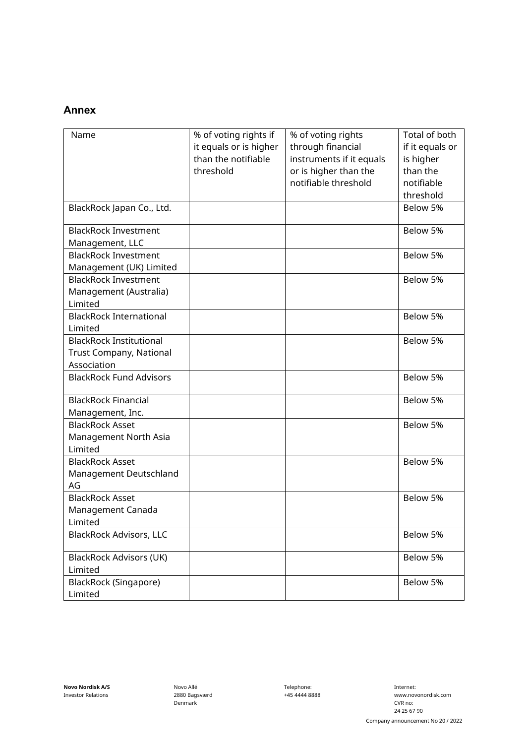### **Annex**

| Name                                                                     | % of voting rights if<br>it equals or is higher<br>than the notifiable<br>threshold | % of voting rights<br>through financial<br>instruments if it equals<br>or is higher than the<br>notifiable threshold | Total of both<br>if it equals or<br>is higher<br>than the<br>notifiable |
|--------------------------------------------------------------------------|-------------------------------------------------------------------------------------|----------------------------------------------------------------------------------------------------------------------|-------------------------------------------------------------------------|
|                                                                          |                                                                                     |                                                                                                                      | threshold                                                               |
| BlackRock Japan Co., Ltd.                                                |                                                                                     |                                                                                                                      | Below 5%                                                                |
| <b>BlackRock Investment</b><br>Management, LLC                           |                                                                                     |                                                                                                                      | Below 5%                                                                |
| <b>BlackRock Investment</b><br>Management (UK) Limited                   |                                                                                     |                                                                                                                      | Below 5%                                                                |
| <b>BlackRock Investment</b><br>Management (Australia)<br>Limited         |                                                                                     |                                                                                                                      | Below 5%                                                                |
| <b>BlackRock International</b><br>Limited                                |                                                                                     |                                                                                                                      | Below 5%                                                                |
| <b>BlackRock Institutional</b><br>Trust Company, National<br>Association |                                                                                     |                                                                                                                      | Below 5%                                                                |
| <b>BlackRock Fund Advisors</b>                                           |                                                                                     |                                                                                                                      | Below 5%                                                                |
| <b>BlackRock Financial</b><br>Management, Inc.                           |                                                                                     |                                                                                                                      | Below 5%                                                                |
| <b>BlackRock Asset</b><br>Management North Asia<br>Limited               |                                                                                     |                                                                                                                      | Below 5%                                                                |
| <b>BlackRock Asset</b><br>Management Deutschland<br>AG                   |                                                                                     |                                                                                                                      | Below 5%                                                                |
| <b>BlackRock Asset</b><br>Management Canada<br>Limited                   |                                                                                     |                                                                                                                      | Below 5%                                                                |
| <b>BlackRock Advisors, LLC</b>                                           |                                                                                     |                                                                                                                      | Below 5%                                                                |
| <b>BlackRock Advisors (UK)</b><br>Limited                                |                                                                                     |                                                                                                                      | Below 5%                                                                |
| BlackRock (Singapore)<br>Limited                                         |                                                                                     |                                                                                                                      | Below 5%                                                                |